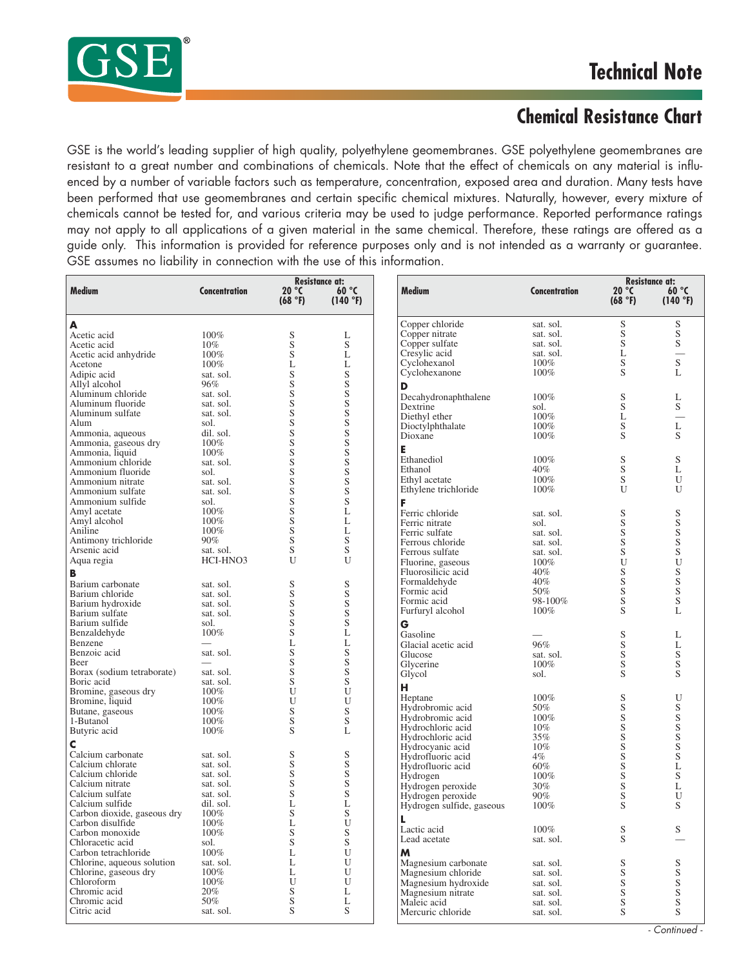

## **Chemical Resistance Chart**

GSE is the world's leading supplier of high quality, polyethylene geomembranes. GSE polyethylene geomembranes are resistant to a great number and combinations of chemicals. Note that the effect of chemicals on any material is influenced by a number of variable factors such as temperature, concentration, exposed area and duration. Many tests have been performed that use geomembranes and certain specific chemical mixtures. Naturally, however, every mixture of chemicals cannot be tested for, and various criteria may be used to judge performance. Reported performance ratings may not apply to all applications of a given material in the same chemical. Therefore, these ratings are offered as a guide only. This information is provided for reference purposes only and is not intended as a warranty or guarantee. GSE assumes no liability in connection with the use of this information.

| Medium                       |                      | <b>Resistance at:</b>      |              |                           |               |                                       | <b>Resistance at:</b>    |
|------------------------------|----------------------|----------------------------|--------------|---------------------------|---------------|---------------------------------------|--------------------------|
|                              | <b>Concentration</b> | 20 °C<br>60 °C<br>(140 °F) |              | <b>Medium</b>             | Concentration | 20 °C<br>60 °C<br>(68 °F)<br>(140 °F) |                          |
|                              |                      | (68 °F)                    |              |                           |               |                                       |                          |
|                              |                      |                            |              | Copper chloride           | sat. sol.     | S                                     | S                        |
|                              | 100%                 | S                          | L            | Copper nitrate            | sat. sol.     | S                                     | $\mathbf S$              |
| Acetic acid<br>Acetic acid   | $10\%$               | S                          | S            | Copper sulfate            | sat. sol.     | S                                     | ${\mathbf S}$            |
| Acetic acid anhydride        | 100%                 | S                          | L            | Cresylic acid             | sat. sol.     | L                                     | $\frac{1}{s}$            |
| Acetone                      | 100%                 | L                          | L            | Cyclohexanol              | $100\%$       | S                                     |                          |
| Adipic acid                  | sat. sol.            | S                          | S            | Cyclohexanone             | $100\%$       | S                                     | L                        |
| Allyl alcohol                | 96%                  | S                          | S            |                           |               |                                       |                          |
| Aluminum chloride            |                      | S                          | S            | D                         |               |                                       |                          |
|                              | sat. sol.            |                            | S            | Decahydronaphthalene      | 100%          | S                                     | L                        |
| Aluminum fluoride            | sat. sol.            | S                          |              | Dextrine                  | sol.          | S                                     | S                        |
| Aluminum sulfate             | sat. sol.            | S                          | S            | Diethyl ether             | 100%          | L                                     |                          |
| Alum                         | sol.                 | S                          | S            | Dioctylphthalate          | 100%          | S                                     |                          |
| Ammonia, aqueous             | dil. sol.            | S                          | S            | Dioxane                   | $100\%$       | S                                     | $_\mathrm{S}^\mathrm{L}$ |
| Ammonia, gaseous dry         | 100%                 | S                          | S            | Е                         |               |                                       |                          |
| Ammonia, liquid              | 100%                 | S                          | S            |                           |               |                                       |                          |
| Ammonium chloride            | sat. sol.            | S                          | S            | Ethanediol                | 100%          | S                                     | S                        |
| Ammonium fluoride            | sol.                 | S                          | S            | Ethanol                   | 40%           | S                                     | L                        |
| Ammonium nitrate             | sat. sol.            | S                          | S            | Ethyl acetate             | 100%          | S                                     | U                        |
| Ammonium sulfate             | sat. sol.            | S                          | S            | Ethylene trichloride      | 100%          | U                                     | $\mathbf{U}$             |
| Ammonium sulfide             | sol.                 | S                          | S            | F                         |               |                                       |                          |
| Amyl acetate                 | 100%                 | S                          | L            |                           |               |                                       |                          |
| Amyl alcohol                 | 100%                 | S                          | L            | Ferric chloride           | sat. sol.     | S                                     | $\mathbf S$              |
| Aniline                      | 100%                 | S                          | L            | Ferric nitrate            | sol.          | S                                     | S                        |
|                              |                      |                            |              | Ferric sulfate            | sat. sol.     | S                                     | $\mathbf S$              |
| Antimony trichloride         | $90\%$               | S                          | S            | Ferrous chloride          | sat. sol.     | S                                     | $\mathbf S$              |
| Arsenic acid                 | sat. sol.            | S                          | S            | Ferrous sulfate           | sat. sol.     | S                                     | $\mathbf S$              |
| Aqua regia                   | HCI-HNO3             | U                          | U            | Fluorine, gaseous         | 100%          | U                                     | U<br>S<br>S              |
|                              |                      |                            |              | Fluorosilicic acid        | 40%           | S                                     |                          |
| Barium carbonate             | sat. sol.            | S                          | S            | Formaldehyde              | 40%           | S                                     |                          |
| Barium chloride              | sat. sol.            | S                          | S            | Formic acid               | 50%           | S                                     | $\frac{5}{5}$            |
| Barium hydroxide             | sat. sol.            | S                          | S            | Formic acid               | 98-100%       | $\mathbf S$                           |                          |
| Barium sulfate               | sat. sol.            | S                          | S            | Furfuryl alcohol          | 100%          | S                                     | L                        |
|                              |                      |                            |              |                           |               |                                       |                          |
| Barium sulfide               | sol.                 | S                          | S            | G                         |               |                                       |                          |
| Benzaldehyde                 | 100%                 | S                          | L            | Gasoline                  |               | S                                     | L                        |
| Benzene                      |                      | L                          | L            | Glacial acetic acid       | 96%           | S                                     | L                        |
| Benzoic acid                 | sat. sol.            | S                          | S            | Glucose                   | sat. sol.     | S                                     | $\mathbf S$              |
| Beer                         |                      | S                          | S            | Glycerine                 | $100\%$       | S                                     | $\mathbf S$              |
| Borax (sodium tetraborate)   | sat. sol.            | S                          | S            | Glycol                    | sol.          | S                                     | S                        |
| Boric acid                   | sat. sol.            | S                          | S            |                           |               |                                       |                          |
| Bromine, gaseous dry         | 100%                 | U                          | $\mathbf{U}$ | н                         |               |                                       |                          |
| Bromine, liquid              | 100%                 | U                          | U            | Heptane                   | 100%          | S                                     | U                        |
| Butane, gaseous              | 100%                 | S                          | S            | Hydrobromic acid          | 50%           | S                                     | $\mathbf S$              |
| 1-Butanol                    | 100%                 | S                          | S            | Hydrobromic acid          | 100%          | S                                     | S<br>S<br>S              |
| Butyric acid                 | 100%                 | S                          | L            | Hydrochloric acid         | 10%           | S                                     |                          |
|                              |                      |                            |              | Hydrochloric acid         | 35%           | S                                     |                          |
|                              |                      |                            |              | Hydrocyanic acid          | $10\%$        | S                                     | $S_S$                    |
| Calcium carbonate            | sat. sol.            | S                          | S            | Hydrofluoric acid         | $4\%$         | S                                     |                          |
| Calcium chlorate             | sat. sol.            | S                          | S            | Hydrofluoric acid         | 60%           | S                                     | L                        |
| Calcium chloride             | sat. sol.            | S                          | S            | Hydrogen                  | 100%          | S                                     | $\mathbf S$              |
| Calcium nitrate              | sat. sol.            | S                          | S            | Hydrogen peroxide         | 30%           | S                                     | L                        |
| Calcium sulfate              | sat. sol.            | S                          | S            | Hydrogen peroxide         | 90%           | S                                     | U                        |
| Calcium sulfide              | dil. sol.            | L                          | L            | Hydrogen sulfide, gaseous | 100%          | S                                     | S                        |
| Carbon dioxide, gaseous dry  | 100%                 | S                          | S            |                           |               |                                       |                          |
| Carbon disulfide             | 100%                 |                            | $\mathbf{U}$ | L                         |               |                                       |                          |
| Carbon monoxide              | 100%                 | S                          | $\mathbf S$  | Lactic acid               | 100%          | S                                     | S                        |
|                              |                      | S                          | S            | Lead acetate              | sat. sol.     | S                                     |                          |
| Chloracetic acid             | sol.                 |                            |              |                           |               |                                       |                          |
| Carbon tetrachloride         | 100%                 | L                          | U            | M                         |               |                                       |                          |
| Chlorine, aqueous solution   | sat. sol.            | L                          | U            | Magnesium carbonate       | sat. sol.     | S                                     | ${\mathbf S}$            |
| Chlorine, gaseous dry        | 100%                 | L                          | U            | Magnesium chloride        | sat. sol.     | $\mathbf S$                           | $\mathbf S$              |
| Chloroform                   | 100%                 | U                          | U            | Magnesium hydroxide       | sat. sol.     | S                                     | $\mathbf S$              |
|                              |                      | S                          | L            | Magnesium nitrate         | sat. sol.     | $\mathbf S$                           | ${\mathbf S}$            |
|                              | 20%                  |                            |              |                           |               |                                       |                          |
| Chromic acid<br>Chromic acid | 50%                  | S                          | L            | Maleic acid               | sat. sol.     | $\mathbf S$                           | $\mathbf S$              |